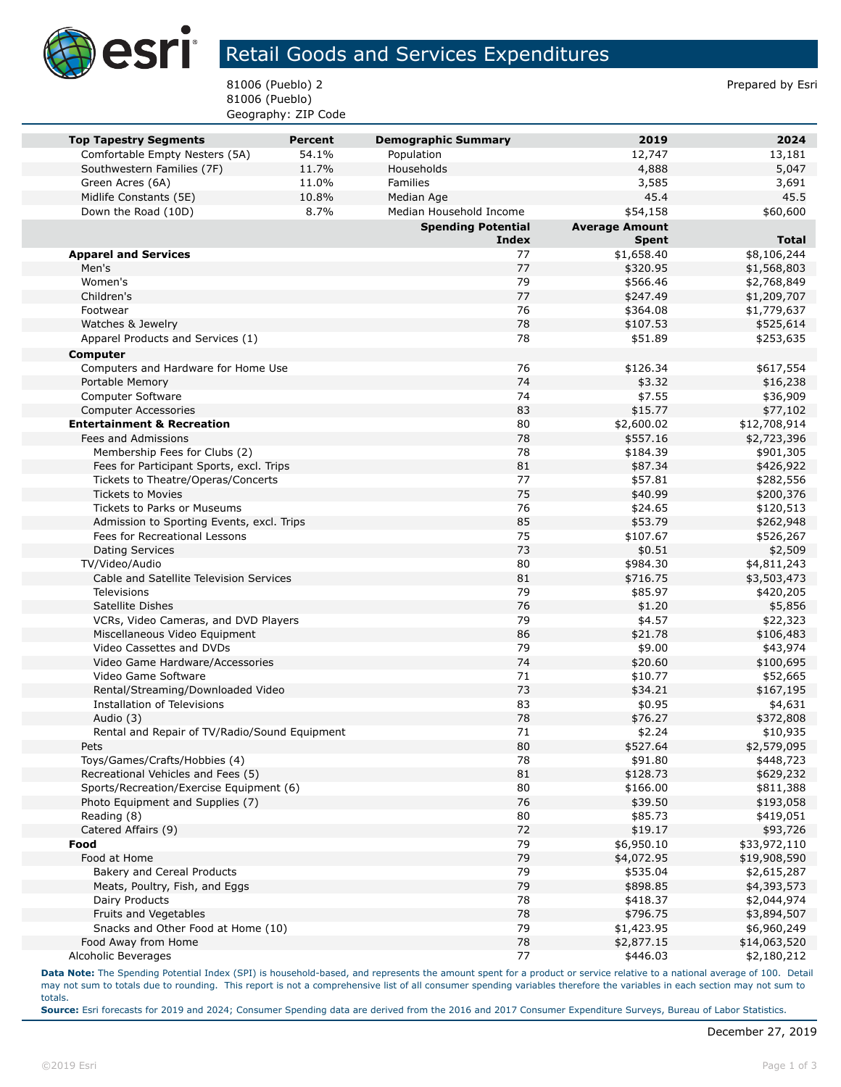

## Retail Goods and Services Expenditures

81006 (Pueblo) 2 Prepared by Esri 81006 (Pueblo) Geography: ZIP Code

|                                                                | <b>Percent</b> |                                          | 2019                  | 2024                  |
|----------------------------------------------------------------|----------------|------------------------------------------|-----------------------|-----------------------|
| <b>Top Tapestry Segments</b><br>Comfortable Empty Nesters (5A) | 54.1%          | <b>Demographic Summary</b><br>Population | 12,747                | 13,181                |
| Southwestern Families (7F)                                     | 11.7%          | Households                               | 4,888                 | 5,047                 |
| Green Acres (6A)                                               | 11.0%          | Families                                 | 3,585                 | 3,691                 |
| Midlife Constants (5E)                                         | 10.8%          | Median Age                               | 45.4                  | 45.5                  |
| Down the Road (10D)                                            | 8.7%           | Median Household Income                  | \$54,158              | \$60,600              |
|                                                                |                | <b>Spending Potential</b>                | <b>Average Amount</b> |                       |
|                                                                |                | <b>Index</b>                             | <b>Spent</b>          | <b>Total</b>          |
| <b>Apparel and Services</b>                                    |                | 77                                       | \$1,658.40            | \$8,106,244           |
| Men's                                                          |                | 77                                       | \$320.95              | \$1,568,803           |
| Women's                                                        |                | 79                                       | \$566.46              | \$2,768,849           |
| Children's                                                     |                | 77                                       | \$247.49              | \$1,209,707           |
| Footwear                                                       |                | 76                                       | \$364.08              | \$1,779,637           |
| Watches & Jewelry                                              |                | 78                                       | \$107.53              | \$525,614             |
| Apparel Products and Services (1)                              |                | 78                                       | \$51.89               | \$253,635             |
| <b>Computer</b>                                                |                |                                          |                       |                       |
| Computers and Hardware for Home Use                            |                | 76                                       | \$126.34              | \$617,554             |
| Portable Memory                                                |                | 74                                       | \$3.32                | \$16,238              |
| <b>Computer Software</b>                                       |                | 74                                       | \$7.55                | \$36,909              |
| <b>Computer Accessories</b>                                    |                | 83                                       | \$15.77               | \$77,102              |
| <b>Entertainment &amp; Recreation</b>                          |                | 80                                       | \$2,600.02            | \$12,708,914          |
| Fees and Admissions                                            |                | 78                                       | \$557.16              | \$2,723,396           |
| Membership Fees for Clubs (2)                                  |                | 78                                       | \$184.39              | \$901,305             |
| Fees for Participant Sports, excl. Trips                       |                | 81                                       | \$87.34               | \$426,922             |
| Tickets to Theatre/Operas/Concerts                             |                | 77                                       | \$57.81               | \$282,556             |
| <b>Tickets to Movies</b>                                       |                | 75                                       | \$40.99               | \$200,376             |
| Tickets to Parks or Museums                                    |                | 76                                       | \$24.65               | \$120,513             |
| Admission to Sporting Events, excl. Trips                      |                | 85                                       | \$53.79               | \$262,948             |
| Fees for Recreational Lessons                                  |                | 75                                       | \$107.67              | \$526,267             |
| <b>Dating Services</b>                                         |                | 73                                       | \$0.51                | \$2,509               |
| TV/Video/Audio                                                 |                | 80                                       | \$984.30              | \$4,811,243           |
| Cable and Satellite Television Services                        |                | 81                                       | \$716.75              | \$3,503,473           |
| <b>Televisions</b>                                             |                | 79                                       | \$85.97               | \$420,205             |
| Satellite Dishes                                               |                | 76                                       | \$1.20                | \$5,856               |
| VCRs, Video Cameras, and DVD Players                           |                | 79                                       | \$4.57                | \$22,323              |
| Miscellaneous Video Equipment                                  |                | 86<br>79                                 | \$21.78               | \$106,483             |
| Video Cassettes and DVDs<br>Video Game Hardware/Accessories    |                | 74                                       | \$9.00<br>\$20.60     | \$43,974              |
| Video Game Software                                            |                | 71                                       | \$10.77               | \$100,695<br>\$52,665 |
| Rental/Streaming/Downloaded Video                              |                | 73                                       | \$34.21               | \$167,195             |
| Installation of Televisions                                    |                | 83                                       | \$0.95                | \$4,631               |
| Audio (3)                                                      |                | 78                                       | \$76.27               | \$372,808             |
| Rental and Repair of TV/Radio/Sound Equipment                  |                | 71                                       | \$2.24                | \$10,935              |
| Pets                                                           |                | 80                                       | \$527.64              | \$2,579,095           |
| Toys/Games/Crafts/Hobbies (4)                                  |                | 78                                       | \$91.80               | \$448,723             |
| Recreational Vehicles and Fees (5)                             |                | 81                                       | \$128.73              | \$629,232             |
| Sports/Recreation/Exercise Equipment (6)                       |                | 80                                       | \$166.00              | \$811,388             |
| Photo Equipment and Supplies (7)                               |                | 76                                       | \$39.50               | \$193,058             |
| Reading (8)                                                    |                | 80                                       | \$85.73               | \$419,051             |
| Catered Affairs (9)                                            |                | 72                                       | \$19.17               | \$93,726              |
| Food                                                           |                | 79                                       | \$6,950.10            | \$33,972,110          |
| Food at Home                                                   |                | 79                                       | \$4,072.95            | \$19,908,590          |
| Bakery and Cereal Products                                     |                | 79                                       | \$535.04              | \$2,615,287           |
| Meats, Poultry, Fish, and Eggs                                 |                | 79                                       | \$898.85              | \$4,393,573           |
| Dairy Products                                                 |                | 78                                       | \$418.37              | \$2,044,974           |
| Fruits and Vegetables                                          |                | 78                                       | \$796.75              | \$3,894,507           |
| Snacks and Other Food at Home (10)                             |                | 79                                       | \$1,423.95            | \$6,960,249           |
| Food Away from Home                                            |                | 78                                       | \$2,877.15            | \$14,063,520          |
| Alcoholic Beverages                                            |                | 77                                       | \$446.03              | \$2,180,212           |

**Data Note:** The Spending Potential Index (SPI) is household-based, and represents the amount spent for a product or service relative to a national average of 100. Detail may not sum to totals due to rounding. This report is not a comprehensive list of all consumer spending variables therefore the variables in each section may not sum to totals.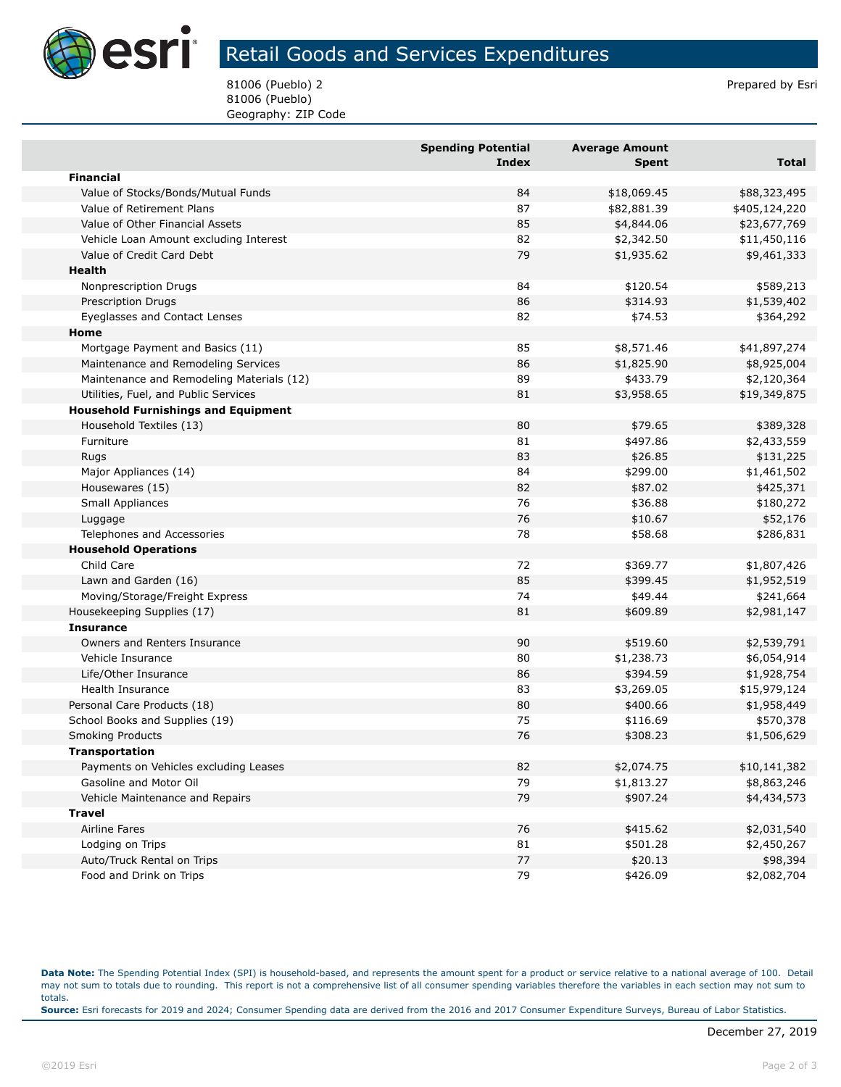

## Retail Goods and Services Expenditures

81006 (Pueblo) 2 Prepared by Esri 81006 (Pueblo) Geography: ZIP Code

|                                            | <b>Spending Potential</b> | <b>Average Amount</b> |               |
|--------------------------------------------|---------------------------|-----------------------|---------------|
|                                            | <b>Index</b>              | Spent                 | Total         |
| <b>Financial</b>                           |                           |                       |               |
| Value of Stocks/Bonds/Mutual Funds         | 84                        | \$18,069.45           | \$88,323,495  |
| Value of Retirement Plans                  | 87                        | \$82,881.39           | \$405,124,220 |
| Value of Other Financial Assets            | 85                        | \$4,844.06            | \$23,677,769  |
| Vehicle Loan Amount excluding Interest     | 82                        | \$2,342.50            | \$11,450,116  |
| Value of Credit Card Debt                  | 79                        | \$1,935.62            | \$9,461,333   |
| Health                                     |                           |                       |               |
| Nonprescription Drugs                      | 84                        | \$120.54              | \$589,213     |
| <b>Prescription Drugs</b>                  | 86                        | \$314.93              | \$1,539,402   |
| Eyeglasses and Contact Lenses              | 82                        | \$74.53               | \$364,292     |
| Home                                       |                           |                       |               |
| Mortgage Payment and Basics (11)           | 85                        | \$8,571.46            | \$41,897,274  |
| Maintenance and Remodeling Services        | 86                        | \$1,825.90            | \$8,925,004   |
| Maintenance and Remodeling Materials (12)  | 89                        | \$433.79              | \$2,120,364   |
| Utilities, Fuel, and Public Services       | 81                        | \$3,958.65            | \$19,349,875  |
| <b>Household Furnishings and Equipment</b> |                           |                       |               |
| Household Textiles (13)                    | 80                        | \$79.65               | \$389,328     |
| Furniture                                  | 81                        | \$497.86              | \$2,433,559   |
| <b>Rugs</b>                                | 83                        | \$26.85               | \$131,225     |
| Major Appliances (14)                      | 84                        | \$299.00              | \$1,461,502   |
| Housewares (15)                            | 82                        | \$87.02               | \$425,371     |
| <b>Small Appliances</b>                    | 76                        | \$36.88               | \$180,272     |
| Luggage                                    | 76                        | \$10.67               | \$52,176      |
| Telephones and Accessories                 | 78                        | \$58.68               | \$286,831     |
| <b>Household Operations</b>                |                           |                       |               |
| Child Care                                 | 72                        | \$369.77              | \$1,807,426   |
| Lawn and Garden (16)                       | 85                        | \$399.45              | \$1,952,519   |
| Moving/Storage/Freight Express             | 74                        | \$49.44               | \$241,664     |
| Housekeeping Supplies (17)                 | 81                        | \$609.89              | \$2,981,147   |
| <b>Insurance</b>                           |                           |                       |               |
| Owners and Renters Insurance               | 90                        | \$519.60              | \$2,539,791   |
| Vehicle Insurance                          | 80                        | \$1,238.73            | \$6,054,914   |
| Life/Other Insurance                       | 86                        | \$394.59              | \$1,928,754   |
| Health Insurance                           | 83                        | \$3,269.05            | \$15,979,124  |
| Personal Care Products (18)                | 80                        | \$400.66              | \$1,958,449   |
| School Books and Supplies (19)             | 75                        | \$116.69              | \$570,378     |
| <b>Smoking Products</b>                    | 76                        | \$308.23              | \$1,506,629   |
|                                            |                           |                       |               |
| Transportation                             | 82                        |                       | \$10,141,382  |
| Payments on Vehicles excluding Leases      |                           | \$2,074.75            |               |
| Gasoline and Motor Oil                     | 79                        | \$1,813.27            | \$8,863,246   |
| Vehicle Maintenance and Repairs            | 79                        | \$907.24              | \$4,434,573   |
| <b>Travel</b>                              |                           |                       |               |
| Airline Fares                              | 76                        | \$415.62              | \$2,031,540   |
| Lodging on Trips                           | 81                        | \$501.28              | \$2,450,267   |
| Auto/Truck Rental on Trips                 | 77                        | \$20.13               | \$98,394      |
| Food and Drink on Trips                    | 79                        | \$426.09              | \$2,082,704   |

**Data Note:** The Spending Potential Index (SPI) is household-based, and represents the amount spent for a product or service relative to a national average of 100. Detail may not sum to totals due to rounding. This report is not a comprehensive list of all consumer spending variables therefore the variables in each section may not sum to totals. **Source:** Esri forecasts for 2019 and 2024; Consumer Spending data are derived from the 2016 and 2017 Consumer Expenditure Surveys, Bureau of Labor Statistics.